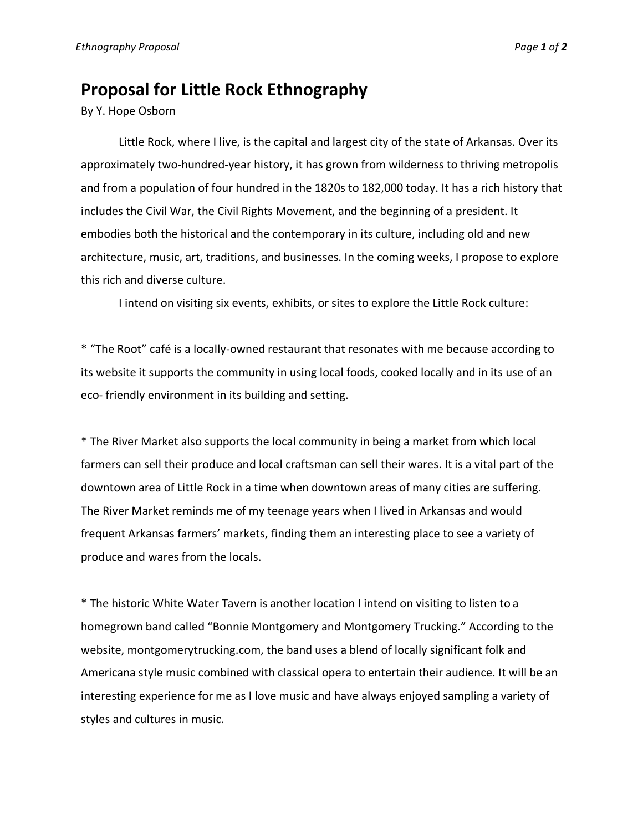## **Proposal for Little Rock Ethnography**

By Y. Hope Osborn

Little Rock, where I live, is the capital and largest city of the state of Arkansas. Over its approximately two-hundred-year history, it has grown from wilderness to thriving metropolis and from a population of four hundred in the 1820s to 182,000 today. It has a rich history that includes the Civil War, the Civil Rights Movement, and the beginning of a president. It embodies both the historical and the contemporary in its culture, including old and new architecture, music, art, traditions, and businesses. In the coming weeks, I propose to explore this rich and diverse culture.

I intend on visiting six events, exhibits, or sites to explore the Little Rock culture:

\* "The Root" café is a locally-owned restaurant that resonates with me because according to its website it supports the community in using local foods, cooked locally and in its use of an eco- friendly environment in its building and setting.

\* The River Market also supports the local community in being a market from which local farmers can sell their produce and local craftsman can sell their wares. It is a vital part of the downtown area of Little Rock in a time when downtown areas of many cities are suffering. The River Market reminds me of my teenage years when I lived in Arkansas and would frequent Arkansas farmers' markets, finding them an interesting place to see a variety of produce and wares from the locals.

\* The historic White Water Tavern is another location I intend on visiting to listen to a homegrown band called "Bonnie Montgomery and Montgomery Trucking." According to the website, montgomerytrucking.com, the band uses a blend of locally significant folk and Americana style music combined with classical opera to entertain their audience. It will be an interesting experience for me as I love music and have always enjoyed sampling a variety of styles and cultures in music.